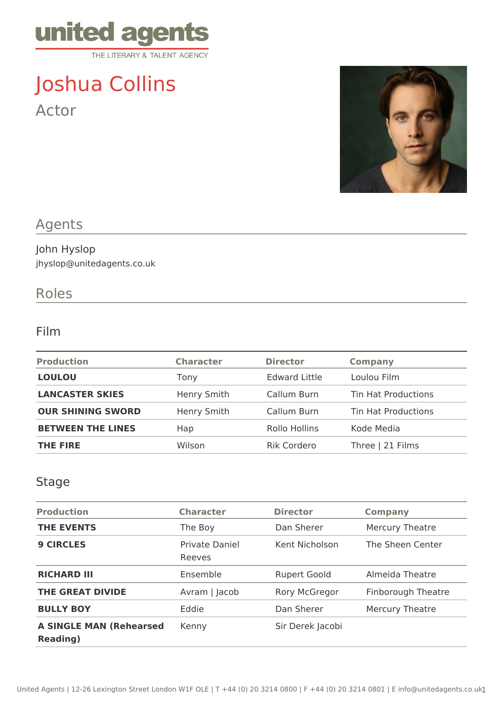

# Joshua Collins Actor



## Agents

#### John Hyslop jhyslop@unitedagents.co.uk

## Roles

#### Film

| <b>Production</b>        | <b>Character</b> | <b>Director</b>      | <b>Company</b>             |
|--------------------------|------------------|----------------------|----------------------------|
| <b>LOULOU</b>            | Tony             | <b>Edward Little</b> | Loulou Film                |
| <b>LANCASTER SKIES</b>   | Henry Smith      | Callum Burn          | <b>Tin Hat Productions</b> |
| <b>OUR SHINING SWORD</b> | Henry Smith      | Callum Burn          | <b>Tin Hat Productions</b> |
| <b>BETWEEN THE LINES</b> | Hap              | Rollo Hollins        | Kode Media                 |
| <b>THE FIRE</b>          | Wilson           | <b>Rik Cordero</b>   | Three   21 Films           |

#### Stage

| <b>Production</b>                                  | <b>Character</b>                | <b>Director</b>     | <b>Company</b>         |
|----------------------------------------------------|---------------------------------|---------------------|------------------------|
| <b>THE EVENTS</b>                                  | The Boy                         | Dan Sherer          | <b>Mercury Theatre</b> |
| <b>9 CIRCLES</b>                                   | <b>Private Daniel</b><br>Reeves | Kent Nicholson      | The Sheen Center       |
| <b>RICHARD III</b>                                 | Ensemble                        | <b>Rupert Goold</b> | Almeida Theatre        |
| <b>THE GREAT DIVIDE</b>                            | Avram   Jacob                   | Rory McGregor       | Finborough Theatre     |
| <b>BULLY BOY</b>                                   | Eddie                           | Dan Sherer          | <b>Mercury Theatre</b> |
| <b>A SINGLE MAN (Rehearsed</b><br><b>Reading</b> ) | Kenny                           | Sir Derek Jacobi    |                        |